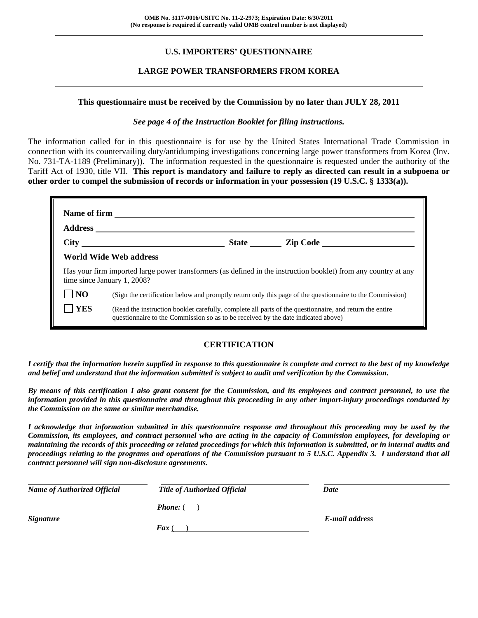## **U.S. IMPORTERS' QUESTIONNAIRE**

### **LARGE POWER TRANSFORMERS FROM KOREA**

#### **This questionnaire must be received by the Commission by no later than JULY 28, 2011**

#### *See page 4 of the Instruction Booklet for filing instructions.*

The information called for in this questionnaire is for use by the United States International Trade Commission in connection with its countervailing duty/antidumping investigations concerning large power transformers from Korea (Inv. No. 731-TA-1189 (Preliminary)). The information requested in the questionnaire is requested under the authority of the Tariff Act of 1930, title VII. **This report is mandatory and failure to reply as directed can result in a subpoena or other order to compel the submission of records or information in your possession (19 U.S.C. § 1333(a)).** 

|                |                                                                                                                                                                                              |  | State <u>Lip Code</u>                                                                                    |  |
|----------------|----------------------------------------------------------------------------------------------------------------------------------------------------------------------------------------------|--|----------------------------------------------------------------------------------------------------------|--|
|                |                                                                                                                                                                                              |  |                                                                                                          |  |
|                | Has your firm imported large power transformers (as defined in the instruction booklet) from any country at any<br>time since January 1, 2008?                                               |  |                                                                                                          |  |
| N <sub>O</sub> |                                                                                                                                                                                              |  | (Sign the certification below and promptly return only this page of the questionnaire to the Commission) |  |
| <b>YES</b>     | (Read the instruction booklet carefully, complete all parts of the questionnaire, and return the entire<br>questionnaire to the Commission so as to be received by the date indicated above) |  |                                                                                                          |  |

#### **CERTIFICATION**

*I certify that the information herein supplied in response to this questionnaire is complete and correct to the best of my knowledge and belief and understand that the information submitted is subject to audit and verification by the Commission.* 

*By means of this certification I also grant consent for the Commission, and its employees and contract personnel, to use the information provided in this questionnaire and throughout this proceeding in any other import-injury proceedings conducted by the Commission on the same or similar merchandise.* 

*I acknowledge that information submitted in this questionnaire response and throughout this proceeding may be used by the Commission, its employees, and contract personnel who are acting in the capacity of Commission employees, for developing or maintaining the records of this proceeding or related proceedings for which this information is submitted, or in internal audits and proceedings relating to the programs and operations of the Commission pursuant to 5 U.S.C. Appendix 3. I understand that all contract personnel will sign non-disclosure agreements.* 

| <b>Name of Authorized Official</b> | <b>Title of Authorized Official</b> | Date           |
|------------------------------------|-------------------------------------|----------------|
|                                    | <b>Phone:</b> (                     |                |
| <b>Signature</b>                   |                                     | E-mail address |
|                                    | $\boldsymbol{F}$ ax (               |                |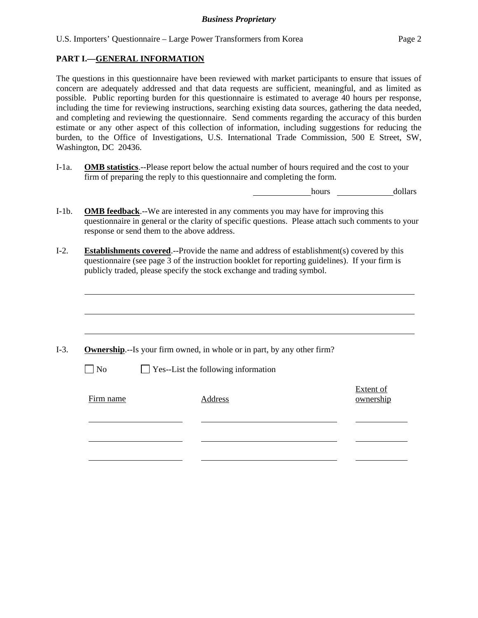### **PART I.—GENERAL INFORMATION**

l

The questions in this questionnaire have been reviewed with market participants to ensure that issues of concern are adequately addressed and that data requests are sufficient, meaningful, and as limited as possible. Public reporting burden for this questionnaire is estimated to average 40 hours per response, including the time for reviewing instructions, searching existing data sources, gathering the data needed, and completing and reviewing the questionnaire. Send comments regarding the accuracy of this burden estimate or any other aspect of this collection of information, including suggestions for reducing the burden, to the Office of Investigations, U.S. International Trade Commission, 500 E Street, SW, Washington, DC 20436.

I-1a. **OMB statistics**.--Please report below the actual number of hours required and the cost to your firm of preparing the reply to this questionnaire and completing the form.

hours dollars

- I-1b. **OMB feedback**.--We are interested in any comments you may have for improving this questionnaire in general or the clarity of specific questions. Please attach such comments to your response or send them to the above address.
- I-2. **Establishments covered**.--Provide the name and address of establishment(s) covered by this questionnaire (see page 3 of the instruction booklet for reporting guidelines). If your firm is publicly traded, please specify the stock exchange and trading symbol.

|           | <b>Ownership.</b> --Is your firm owned, in whole or in part, by any other firm? |                        |
|-----------|---------------------------------------------------------------------------------|------------------------|
| $\neg$ No | $\Box$ Yes--List the following information                                      |                        |
| Firm name | Address                                                                         | Extent of<br>ownership |
|           |                                                                                 |                        |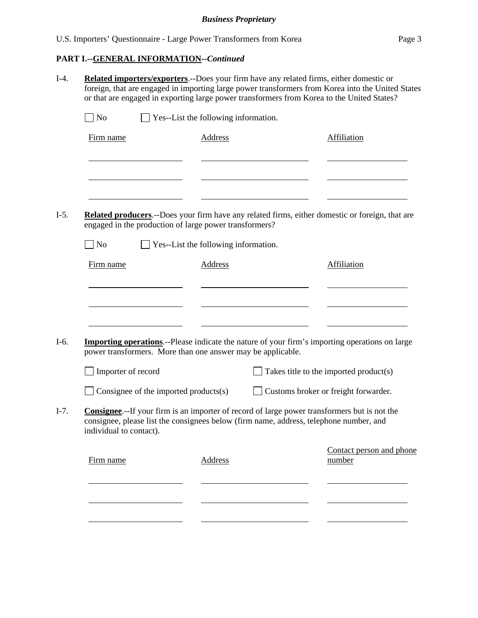# **PART I.--GENERAL INFORMATION***--Continued*

| N <sub>o</sub>          |                                       | $\Box$ Yes--List the following information.                                                                                                                                                    |                                        |
|-------------------------|---------------------------------------|------------------------------------------------------------------------------------------------------------------------------------------------------------------------------------------------|----------------------------------------|
| Firm name               |                                       | <b>Address</b>                                                                                                                                                                                 | Affiliation                            |
|                         |                                       |                                                                                                                                                                                                |                                        |
|                         |                                       | <b>Related producers.</b> --Does your firm have any related firms, either domestic or foreign, that are<br>engaged in the production of large power transformers?                              |                                        |
| $\Box$ No               |                                       | $\Box$ Yes--List the following information.                                                                                                                                                    |                                        |
| Firm name               |                                       | <b>Address</b>                                                                                                                                                                                 | <b>Affiliation</b>                     |
|                         |                                       | <b>Importing operations</b> .--Please indicate the nature of your firm's importing operations on large<br>power transformers. More than one answer may be applicable.                          |                                        |
| Importer of record      |                                       |                                                                                                                                                                                                | Takes title to the imported product(s) |
|                         | Consignee of the imported products(s) |                                                                                                                                                                                                | Customs broker or freight forwarder.   |
| individual to contact). |                                       | <b>Consignee.</b> --If your firm is an importer of record of large power transformers but is not the<br>consignee, please list the consignees below (firm name, address, telephone number, and |                                        |
|                         |                                       | Address                                                                                                                                                                                        | Contact person and phone<br>number     |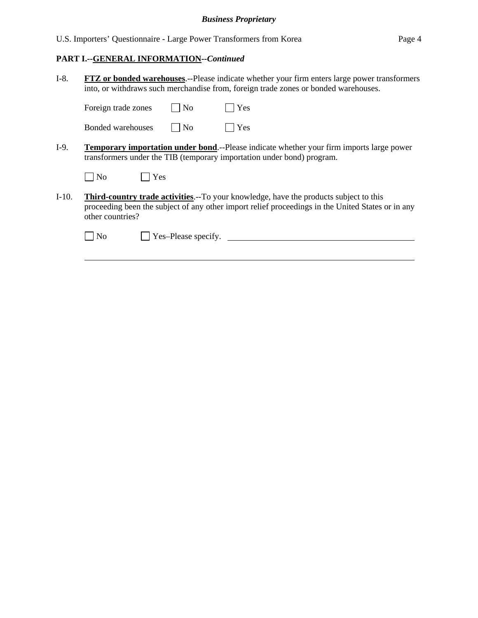U.S. Importers' Questionnaire - Large Power Transformers from Korea Page 4

#### **PART I.--GENERAL INFORMATION***--Continued*

- I-8. **FTZ or bonded warehouses**.--Please indicate whether your firm enters large power transformers into, or withdraws such merchandise from, foreign trade zones or bonded warehouses. Foreign trade zones  $\Box$  No  $\Box$  Yes Bonded warehouses  $\Box$  No  $\Box$  Yes
- I-9. **Temporary importation under bond**.--Please indicate whether your firm imports large power transformers under the TIB (temporary importation under bond) program.

| $\overline{\text{No}}$ | Yes |
|------------------------|-----|
|------------------------|-----|

I-10. **Third-country trade activities**.--To your knowledge, have the products subject to this proceeding been the subject of any other import relief proceedings in the United States or in any other countries?

l

No Yes–Please specify.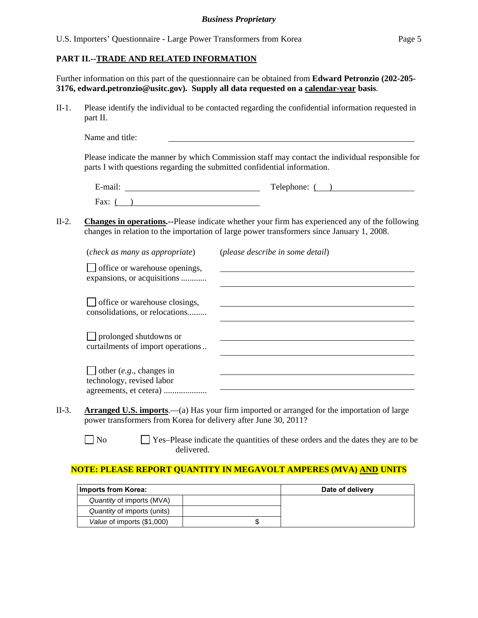#### **PART II.--TRADE AND RELATED INFORMATION**

Further information on this part of the questionnaire can be obtained from **Edward Petronzio (202-205- 3176, edward.petronzio@usitc.gov). Supply all data requested on a calendar-year basis**.

II-1. Please identify the individual to be contacted regarding the confidential information requested in part II.

| Name and title: |  |  |
|-----------------|--|--|
|                 |  |  |

Please indicate the manner by which Commission staff may contact the individual responsible for parts I with questions regarding the submitted confidential information.

| $\cdot$ $\cdot$<br>_<br>±-mail: | $\mathbf{\mathbf{\mathsf{\Gamma}}}\mathbf{\mathsf{\Gamma}}$<br>Telephone: |
|---------------------------------|---------------------------------------------------------------------------|
| Fax:                            |                                                                           |

II-2. **Changes in operations.--**Please indicate whether your firm has experienced any of the following changes in relation to the importation of large power transformers since January 1, 2008.

| (check as many as appropriate)                                     | (please describe in some detail) |
|--------------------------------------------------------------------|----------------------------------|
| office or warehouse openings,<br>expansions, or acquisitions       |                                  |
| office or warehouse closings,<br>consolidations, or relocations    |                                  |
| $\Box$ prolonged shutdowns or<br>curtailments of import operations |                                  |
| $\Box$ other (e.g., changes in<br>technology, revised labor        |                                  |

- II-3. **Arranged U.S. imports**.—(a) Has your firm imported or arranged for the importation of large power transformers from Korea for delivery after June 30, 2011?
	- No Ses–Please indicate the quantities of these orders and the dates they are to be delivered.

## **NOTE: PLEASE REPORT QUANTITY IN MEGAVOLT AMPERES (MVA) AND UNITS**

| Imports from Korea:         | Date of delivery |  |
|-----------------------------|------------------|--|
| Quantity of imports (MVA)   |                  |  |
| Quantity of imports (units) |                  |  |
| Value of imports (\$1,000)  |                  |  |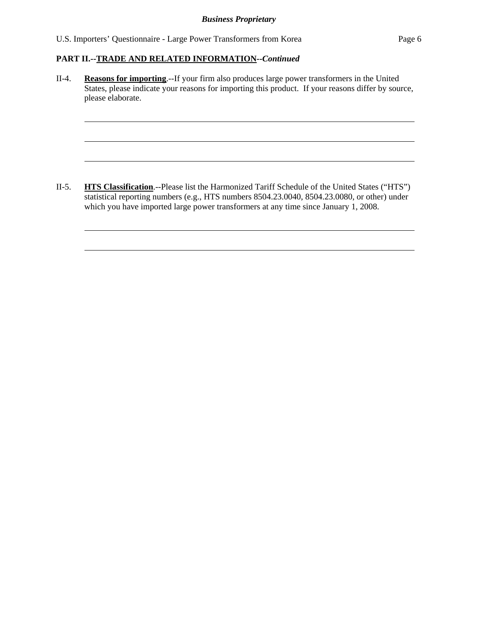l

l

l

l

l

II-4. **Reasons for importing**.--If your firm also produces large power transformers in the United States, please indicate your reasons for importing this product. If your reasons differ by source, please elaborate.

II-5. **HTS Classification**.--Please list the Harmonized Tariff Schedule of the United States ("HTS") statistical reporting numbers (e.g., HTS numbers 8504.23.0040, 8504.23.0080, or other) under which you have imported large power transformers at any time since January 1, 2008.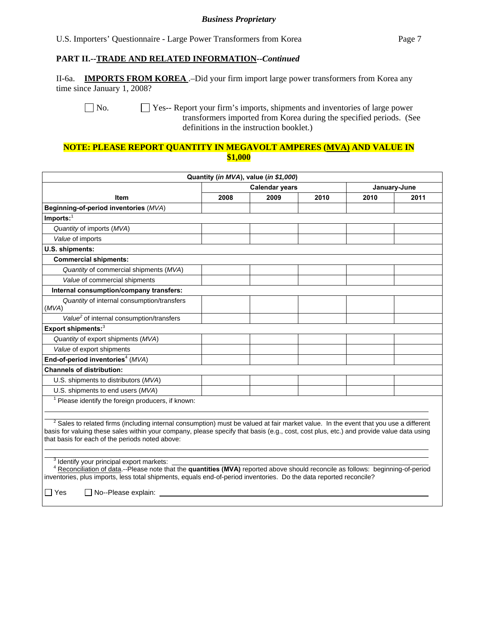U.S. Importers' Questionnaire - Large Power Transformers from Korea Page 7

#### **PART II.--TRADE AND RELATED INFORMATION***--Continued*

II-6a. **IMPORTS FROM KOREA** .–Did your firm import large power transformers from Korea any time since January 1, 2008?

No.  $\Box$  Yes-- Report your firm's imports, shipments and inventories of large power transformers imported from Korea during the specified periods. (See definitions in the instruction booklet.)

#### **NOTE: PLEASE REPORT QUANTITY IN MEGAVOLT AMPERES (MVA) AND VALUE IN \$1,000**

|                                                                                                                                                                                                                                                                                                                                               |                       | Quantity (in MVA), value (in \$1,000) |              |      |      |
|-----------------------------------------------------------------------------------------------------------------------------------------------------------------------------------------------------------------------------------------------------------------------------------------------------------------------------------------------|-----------------------|---------------------------------------|--------------|------|------|
|                                                                                                                                                                                                                                                                                                                                               | <b>Calendar years</b> |                                       | January-June |      |      |
| <b>Item</b>                                                                                                                                                                                                                                                                                                                                   | 2008                  | 2009                                  | 2010         | 2010 | 2011 |
| Beginning-of-period inventories (MVA)                                                                                                                                                                                                                                                                                                         |                       |                                       |              |      |      |
| $Imports:$ <sup>1</sup>                                                                                                                                                                                                                                                                                                                       |                       |                                       |              |      |      |
| Quantity of imports (MVA)                                                                                                                                                                                                                                                                                                                     |                       |                                       |              |      |      |
| Value of imports                                                                                                                                                                                                                                                                                                                              |                       |                                       |              |      |      |
| U.S. shipments:                                                                                                                                                                                                                                                                                                                               |                       |                                       |              |      |      |
| <b>Commercial shipments:</b>                                                                                                                                                                                                                                                                                                                  |                       |                                       |              |      |      |
| Quantity of commercial shipments (MVA)                                                                                                                                                                                                                                                                                                        |                       |                                       |              |      |      |
| Value of commercial shipments                                                                                                                                                                                                                                                                                                                 |                       |                                       |              |      |      |
| Internal consumption/company transfers:                                                                                                                                                                                                                                                                                                       |                       |                                       |              |      |      |
| Quantity of internal consumption/transfers<br>(MVA)                                                                                                                                                                                                                                                                                           |                       |                                       |              |      |      |
| Value <sup>2</sup> of internal consumption/transfers                                                                                                                                                                                                                                                                                          |                       |                                       |              |      |      |
| Export shipments: <sup>3</sup>                                                                                                                                                                                                                                                                                                                |                       |                                       |              |      |      |
| Quantity of export shipments (MVA)                                                                                                                                                                                                                                                                                                            |                       |                                       |              |      |      |
| Value of export shipments                                                                                                                                                                                                                                                                                                                     |                       |                                       |              |      |      |
| End-of-period inventories <sup>4</sup> ( $MVA$ )                                                                                                                                                                                                                                                                                              |                       |                                       |              |      |      |
| <b>Channels of distribution:</b>                                                                                                                                                                                                                                                                                                              |                       |                                       |              |      |      |
| U.S. shipments to distributors (MVA)                                                                                                                                                                                                                                                                                                          |                       |                                       |              |      |      |
| U.S. shipments to end users (MVA)                                                                                                                                                                                                                                                                                                             |                       |                                       |              |      |      |
| <sup>1</sup> Please identify the foreign producers, if known:                                                                                                                                                                                                                                                                                 |                       |                                       |              |      |      |
| <sup>2</sup> Sales to related firms (including internal consumption) must be valued at fair market value. In the event that you use a different<br>basis for valuing these sales within your company, please specify that basis (e.g., cost, cost plus, etc.) and provide value data using<br>that basis for each of the periods noted above: |                       |                                       |              |      |      |
| <sup>3</sup> Identify your principal export markets:<br>Reconciliation of data.--Please note that the quantities (MVA) reported above should reconcile as follows: beginning-of-period<br>inventories, plus imports, less total shipments, equals end-of-period inventories. Do the data reported reconcile?                                  |                       |                                       |              |      |      |

Yes No--Please explain: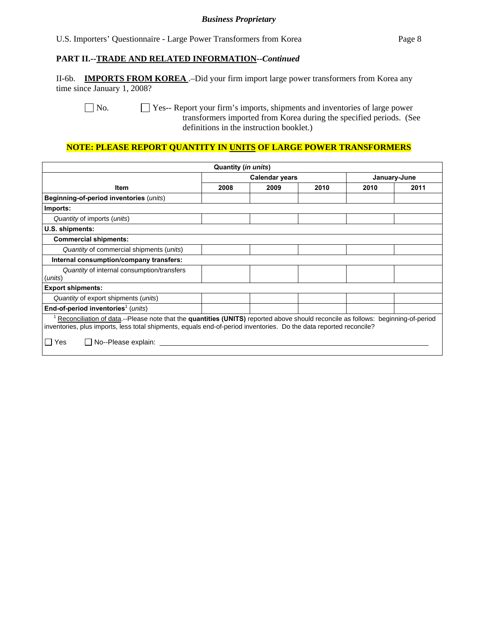U.S. Importers' Questionnaire - Large Power Transformers from Korea Page 8

#### **PART II.--TRADE AND RELATED INFORMATION***--Continued*

II-6b. **IMPORTS FROM KOREA** .–Did your firm import large power transformers from Korea any time since January 1, 2008?

No.  $\Box$  Yes-- Report your firm's imports, shipments and inventories of large power transformers imported from Korea during the specified periods. (See definitions in the instruction booklet.)

### **NOTE: PLEASE REPORT QUANTITY IN UNITS OF LARGE POWER TRANSFORMERS**

|                                                                                                                                  | Quantity (in units)   |      |      |              |      |
|----------------------------------------------------------------------------------------------------------------------------------|-----------------------|------|------|--------------|------|
|                                                                                                                                  | <b>Calendar years</b> |      |      | January-June |      |
| <b>Item</b>                                                                                                                      | 2008                  | 2009 | 2010 | 2010         | 2011 |
| Beginning-of-period inventories (units)                                                                                          |                       |      |      |              |      |
| Imports:                                                                                                                         |                       |      |      |              |      |
| Quantity of imports (units)                                                                                                      |                       |      |      |              |      |
| U.S. shipments:                                                                                                                  |                       |      |      |              |      |
| <b>Commercial shipments:</b>                                                                                                     |                       |      |      |              |      |
| Quantity of commercial shipments (units)                                                                                         |                       |      |      |              |      |
| Internal consumption/company transfers:                                                                                          |                       |      |      |              |      |
| Quantity of internal consumption/transfers                                                                                       |                       |      |      |              |      |
| units)                                                                                                                           |                       |      |      |              |      |
| <b>Export shipments:</b>                                                                                                         |                       |      |      |              |      |
| Quantity of export shipments (units)                                                                                             |                       |      |      |              |      |
| End-of-period inventories <sup>1</sup> (units)                                                                                   |                       |      |      |              |      |
| Reconciliation of data.--Please note that the quantities (UNITS) reported above should reconcile as follows: beginning-of-period |                       |      |      |              |      |
| inventories, plus imports, less total shipments, equals end-of-period inventories. Do the data reported reconcile?               |                       |      |      |              |      |
| l Yes<br>No--Please explain:                                                                                                     |                       |      |      |              |      |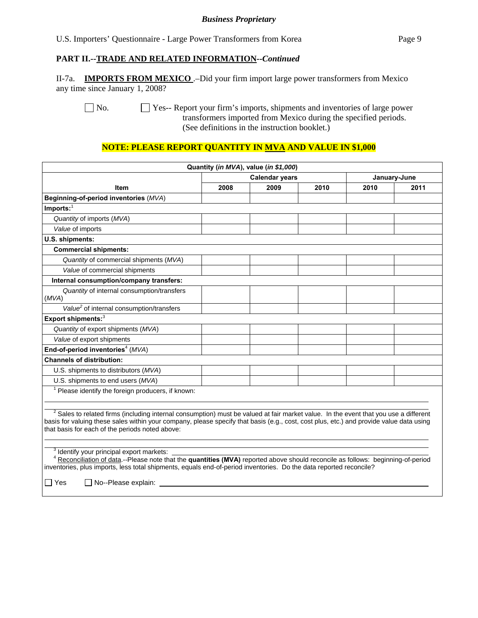U.S. Importers' Questionnaire - Large Power Transformers from Korea Page 9

#### **PART II.--TRADE AND RELATED INFORMATION***--Continued*

II-7a. **IMPORTS FROM MEXICO** .–Did your firm import large power transformers from Mexico any time since January 1, 2008?

 No. Yes-- Report your firm's imports, shipments and inventories of large power transformers imported from Mexico during the specified periods. (See definitions in the instruction booklet.)

## **NOTE: PLEASE REPORT QUANTITY IN MVA AND VALUE IN \$1,000**

|                                                                                                                                                                                                                                                                                                                                                                  |                                       | Quantity (in MVA), value (in \$1,000) |      |      |      |
|------------------------------------------------------------------------------------------------------------------------------------------------------------------------------------------------------------------------------------------------------------------------------------------------------------------------------------------------------------------|---------------------------------------|---------------------------------------|------|------|------|
|                                                                                                                                                                                                                                                                                                                                                                  | <b>Calendar years</b><br>January-June |                                       |      |      |      |
| <b>Item</b>                                                                                                                                                                                                                                                                                                                                                      | 2008                                  | 2009                                  | 2010 | 2010 | 2011 |
| Beginning-of-period inventories (MVA)                                                                                                                                                                                                                                                                                                                            |                                       |                                       |      |      |      |
| $Imports:$ <sup>1</sup>                                                                                                                                                                                                                                                                                                                                          |                                       |                                       |      |      |      |
| Quantity of imports (MVA)                                                                                                                                                                                                                                                                                                                                        |                                       |                                       |      |      |      |
| Value of imports                                                                                                                                                                                                                                                                                                                                                 |                                       |                                       |      |      |      |
| U.S. shipments:                                                                                                                                                                                                                                                                                                                                                  |                                       |                                       |      |      |      |
| <b>Commercial shipments:</b>                                                                                                                                                                                                                                                                                                                                     |                                       |                                       |      |      |      |
| Quantity of commercial shipments (MVA)                                                                                                                                                                                                                                                                                                                           |                                       |                                       |      |      |      |
| Value of commercial shipments                                                                                                                                                                                                                                                                                                                                    |                                       |                                       |      |      |      |
| Internal consumption/company transfers:                                                                                                                                                                                                                                                                                                                          |                                       |                                       |      |      |      |
| Quantity of internal consumption/transfers<br>(MVA)                                                                                                                                                                                                                                                                                                              |                                       |                                       |      |      |      |
| Value <sup>2</sup> of internal consumption/transfers                                                                                                                                                                                                                                                                                                             |                                       |                                       |      |      |      |
| Export shipments: <sup>3</sup>                                                                                                                                                                                                                                                                                                                                   |                                       |                                       |      |      |      |
| Quantity of export shipments (MVA)                                                                                                                                                                                                                                                                                                                               |                                       |                                       |      |      |      |
| Value of export shipments                                                                                                                                                                                                                                                                                                                                        |                                       |                                       |      |      |      |
| End-of-period inventories <sup>4</sup> (MVA)                                                                                                                                                                                                                                                                                                                     |                                       |                                       |      |      |      |
| <b>Channels of distribution:</b>                                                                                                                                                                                                                                                                                                                                 |                                       |                                       |      |      |      |
| U.S. shipments to distributors (MVA)                                                                                                                                                                                                                                                                                                                             |                                       |                                       |      |      |      |
| U.S. shipments to end users (MVA)                                                                                                                                                                                                                                                                                                                                |                                       |                                       |      |      |      |
| <sup>1</sup> Please identify the foreign producers, if known:                                                                                                                                                                                                                                                                                                    |                                       |                                       |      |      |      |
| <sup>2</sup> Sales to related firms (including internal consumption) must be valued at fair market value. In the event that you use a different<br>basis for valuing these sales within your company, please specify that basis (e.g., cost, cost plus, etc.) and provide value data using<br>that basis for each of the periods noted above:                    |                                       |                                       |      |      |      |
| <sup>3</sup> Identify your principal export markets:<br><sup>4</sup> Reconciliation of data.--Please note that the quantities (MVA) reported above should reconcile as follows: beginning-of-period<br>inventories, plus imports, less total shipments, equals end-of-period inventories. Do the data reported reconcile?<br>$\Box$ No--Please explain:<br>□ Yes |                                       |                                       |      |      |      |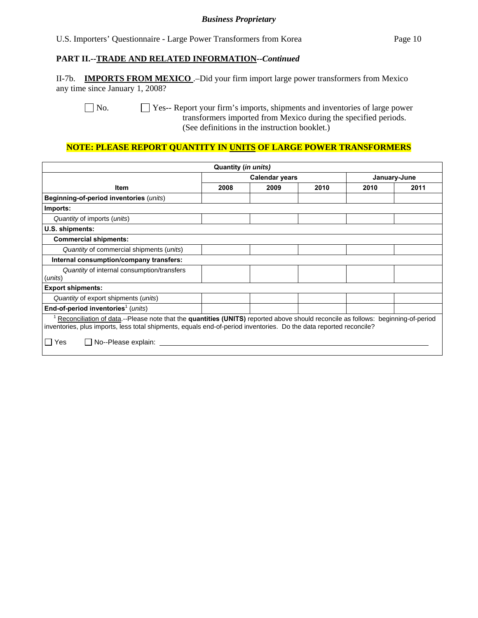U.S. Importers' Questionnaire - Large Power Transformers from Korea Page 10

#### **PART II.--TRADE AND RELATED INFORMATION***--Continued*

II-7b. **IMPORTS FROM MEXICO** .–Did your firm import large power transformers from Mexico any time since January 1, 2008?

No.  $\Box$  Yes-- Report your firm's imports, shipments and inventories of large power transformers imported from Mexico during the specified periods. (See definitions in the instruction booklet.)

## **NOTE: PLEASE REPORT QUANTITY IN UNITS OF LARGE POWER TRANSFORMERS**

|                                                                                                                                  | Quantity (in units)                   |      |      |      |      |
|----------------------------------------------------------------------------------------------------------------------------------|---------------------------------------|------|------|------|------|
|                                                                                                                                  | <b>Calendar years</b><br>January-June |      |      |      |      |
| Item                                                                                                                             | 2008                                  | 2009 | 2010 | 2010 | 2011 |
| Beginning-of-period inventories (units)                                                                                          |                                       |      |      |      |      |
| Imports:                                                                                                                         |                                       |      |      |      |      |
| Quantity of imports (units)                                                                                                      |                                       |      |      |      |      |
| U.S. shipments:                                                                                                                  |                                       |      |      |      |      |
| <b>Commercial shipments:</b>                                                                                                     |                                       |      |      |      |      |
| Quantity of commercial shipments (units)                                                                                         |                                       |      |      |      |      |
| Internal consumption/company transfers:                                                                                          |                                       |      |      |      |      |
| Quantity of internal consumption/transfers                                                                                       |                                       |      |      |      |      |
| (units)                                                                                                                          |                                       |      |      |      |      |
| <b>Export shipments:</b>                                                                                                         |                                       |      |      |      |      |
| Quantity of export shipments (units)                                                                                             |                                       |      |      |      |      |
| End-of-period inventories <sup>1</sup> (units)                                                                                   |                                       |      |      |      |      |
| Reconciliation of data.--Please note that the quantities (UNITS) reported above should reconcile as follows: beginning-of-period |                                       |      |      |      |      |
| inventories, plus imports, less total shipments, equals end-of-period inventories. Do the data reported reconcile?               |                                       |      |      |      |      |
| No--Please explain:<br>l IYes                                                                                                    |                                       |      |      |      |      |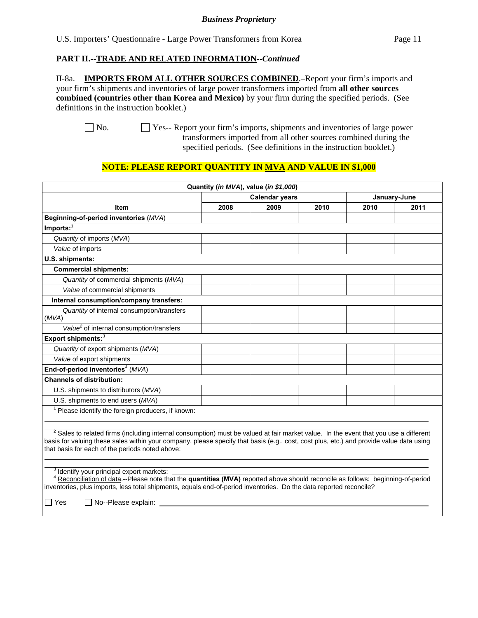U.S. Importers' Questionnaire - Large Power Transformers from Korea Page 11

#### **PART II.--TRADE AND RELATED INFORMATION***--Continued*

II-8a. **IMPORTS FROM ALL OTHER SOURCES COMBINED**.–Report your firm's imports and your firm's shipments and inventories of large power transformers imported from **all other sources combined (countries other than Korea and Mexico)** by your firm during the specified periods. (See definitions in the instruction booklet.)

 No. Yes-- Report your firm's imports, shipments and inventories of large power transformers imported from all other sources combined during the specified periods. (See definitions in the instruction booklet.)

## **NOTE: PLEASE REPORT QUANTITY IN MVA AND VALUE IN \$1,000**

|                                                                                                                                                                                                                                                                                                                                                                                                                                                                                                                                                                                                                                                                                                                 |                       | Quantity (in MVA), value (in \$1,000) |      |              |      |
|-----------------------------------------------------------------------------------------------------------------------------------------------------------------------------------------------------------------------------------------------------------------------------------------------------------------------------------------------------------------------------------------------------------------------------------------------------------------------------------------------------------------------------------------------------------------------------------------------------------------------------------------------------------------------------------------------------------------|-----------------------|---------------------------------------|------|--------------|------|
|                                                                                                                                                                                                                                                                                                                                                                                                                                                                                                                                                                                                                                                                                                                 | <b>Calendar years</b> |                                       |      | January-June |      |
| <b>Item</b>                                                                                                                                                                                                                                                                                                                                                                                                                                                                                                                                                                                                                                                                                                     | 2008                  | 2009                                  | 2010 | 2010         | 2011 |
| Beginning-of-period inventories (MVA)                                                                                                                                                                                                                                                                                                                                                                                                                                                                                                                                                                                                                                                                           |                       |                                       |      |              |      |
| $Imports:$ <sup>1</sup>                                                                                                                                                                                                                                                                                                                                                                                                                                                                                                                                                                                                                                                                                         |                       |                                       |      |              |      |
| Quantity of imports (MVA)                                                                                                                                                                                                                                                                                                                                                                                                                                                                                                                                                                                                                                                                                       |                       |                                       |      |              |      |
| Value of imports                                                                                                                                                                                                                                                                                                                                                                                                                                                                                                                                                                                                                                                                                                |                       |                                       |      |              |      |
| U.S. shipments:                                                                                                                                                                                                                                                                                                                                                                                                                                                                                                                                                                                                                                                                                                 |                       |                                       |      |              |      |
| <b>Commercial shipments:</b>                                                                                                                                                                                                                                                                                                                                                                                                                                                                                                                                                                                                                                                                                    |                       |                                       |      |              |      |
| Quantity of commercial shipments (MVA)                                                                                                                                                                                                                                                                                                                                                                                                                                                                                                                                                                                                                                                                          |                       |                                       |      |              |      |
| Value of commercial shipments                                                                                                                                                                                                                                                                                                                                                                                                                                                                                                                                                                                                                                                                                   |                       |                                       |      |              |      |
| Internal consumption/company transfers:                                                                                                                                                                                                                                                                                                                                                                                                                                                                                                                                                                                                                                                                         |                       |                                       |      |              |      |
| Quantity of internal consumption/transfers<br>(MVA)                                                                                                                                                                                                                                                                                                                                                                                                                                                                                                                                                                                                                                                             |                       |                                       |      |              |      |
| Value <sup>2</sup> of internal consumption/transfers                                                                                                                                                                                                                                                                                                                                                                                                                                                                                                                                                                                                                                                            |                       |                                       |      |              |      |
| Export shipments: <sup>3</sup>                                                                                                                                                                                                                                                                                                                                                                                                                                                                                                                                                                                                                                                                                  |                       |                                       |      |              |      |
| Quantity of export shipments (MVA)                                                                                                                                                                                                                                                                                                                                                                                                                                                                                                                                                                                                                                                                              |                       |                                       |      |              |      |
| Value of export shipments                                                                                                                                                                                                                                                                                                                                                                                                                                                                                                                                                                                                                                                                                       |                       |                                       |      |              |      |
| End-of-period inventories <sup>4</sup> ( $MVA$ )                                                                                                                                                                                                                                                                                                                                                                                                                                                                                                                                                                                                                                                                |                       |                                       |      |              |      |
| <b>Channels of distribution:</b>                                                                                                                                                                                                                                                                                                                                                                                                                                                                                                                                                                                                                                                                                |                       |                                       |      |              |      |
| U.S. shipments to distributors (MVA)                                                                                                                                                                                                                                                                                                                                                                                                                                                                                                                                                                                                                                                                            |                       |                                       |      |              |      |
| U.S. shipments to end users (MVA)                                                                                                                                                                                                                                                                                                                                                                                                                                                                                                                                                                                                                                                                               |                       |                                       |      |              |      |
| <sup>1</sup> Please identify the foreign producers, if known:                                                                                                                                                                                                                                                                                                                                                                                                                                                                                                                                                                                                                                                   |                       |                                       |      |              |      |
| <sup>2</sup> Sales to related firms (including internal consumption) must be valued at fair market value. In the event that you use a different<br>basis for valuing these sales within your company, please specify that basis (e.g., cost, cost plus, etc.) and provide value data using<br>that basis for each of the periods noted above:<br><sup>3</sup> Identify your principal export markets:<br><sup>4</sup> Reconciliation of data.--Please note that the quantities (MVA) reported above should reconcile as follows: beginning-of-period<br>inventories, plus imports, less total shipments, equals end-of-period inventories. Do the data reported reconcile?<br>No--Please explain:<br>$\Box$ Yes |                       |                                       |      |              |      |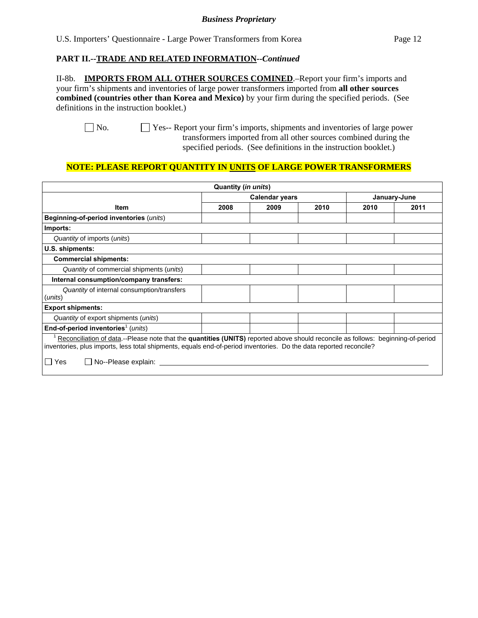U.S. Importers' Questionnaire - Large Power Transformers from Korea Page 12

#### **PART II.--TRADE AND RELATED INFORMATION***--Continued*

II-8b. **IMPORTS FROM ALL OTHER SOURCES COMINED**.–Report your firm's imports and your firm's shipments and inventories of large power transformers imported from **all other sources combined (countries other than Korea and Mexico)** by your firm during the specified periods. (See definitions in the instruction booklet.)

 No. Yes-- Report your firm's imports, shipments and inventories of large power transformers imported from all other sources combined during the specified periods. (See definitions in the instruction booklet.)

## **NOTE: PLEASE REPORT QUANTITY IN UNITS OF LARGE POWER TRANSFORMERS**

|                                                                                                                                                                                                                                                                                                              | Quantity (in units)                   |      |      |      |      |
|--------------------------------------------------------------------------------------------------------------------------------------------------------------------------------------------------------------------------------------------------------------------------------------------------------------|---------------------------------------|------|------|------|------|
|                                                                                                                                                                                                                                                                                                              | <b>Calendar years</b><br>January-June |      |      |      |      |
| <b>Item</b>                                                                                                                                                                                                                                                                                                  | 2008                                  | 2009 | 2010 | 2010 | 2011 |
| Beginning-of-period inventories (units)                                                                                                                                                                                                                                                                      |                                       |      |      |      |      |
| Imports:                                                                                                                                                                                                                                                                                                     |                                       |      |      |      |      |
| Quantity of imports (units)                                                                                                                                                                                                                                                                                  |                                       |      |      |      |      |
| U.S. shipments:                                                                                                                                                                                                                                                                                              |                                       |      |      |      |      |
| <b>Commercial shipments:</b>                                                                                                                                                                                                                                                                                 |                                       |      |      |      |      |
| Quantity of commercial shipments (units)                                                                                                                                                                                                                                                                     |                                       |      |      |      |      |
| Internal consumption/company transfers:                                                                                                                                                                                                                                                                      |                                       |      |      |      |      |
| Quantity of internal consumption/transfers<br>(units)                                                                                                                                                                                                                                                        |                                       |      |      |      |      |
| <b>Export shipments:</b>                                                                                                                                                                                                                                                                                     |                                       |      |      |      |      |
| Quantity of export shipments (units)                                                                                                                                                                                                                                                                         |                                       |      |      |      |      |
| End-of-period inventories <sup>1</sup> (units)                                                                                                                                                                                                                                                               |                                       |      |      |      |      |
| Reconciliation of data.--Please note that the quantities (UNITS) reported above should reconcile as follows: beginning-of-period<br>inventories, plus imports, less total shipments, equals end-of-period inventories. Do the data reported reconcile?<br>No--Please explain: _____<br>Yes<br>$\blacksquare$ |                                       |      |      |      |      |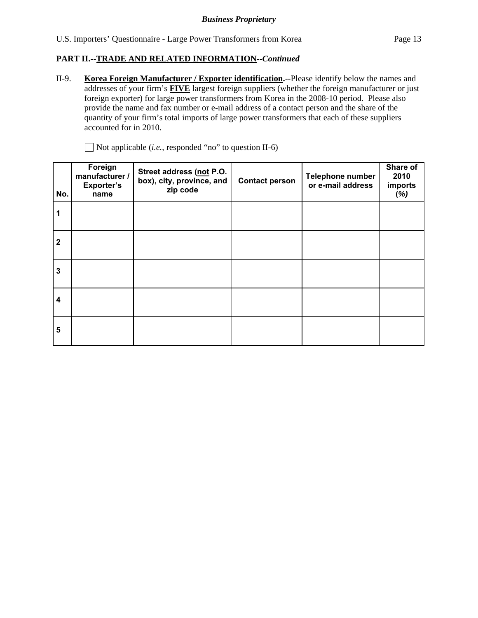## **PART II.--TRADE AND RELATED INFORMATION***--Continued*

II-9. **Korea Foreign Manufacturer / Exporter identification.--**Please identify below the names and addresses of your firm's **FIVE** largest foreign suppliers (whether the foreign manufacturer or just foreign exporter) for large power transformers from Korea in the 2008-10 period. Please also provide the name and fax number or e-mail address of a contact person and the share of the quantity of your firm's total imports of large power transformers that each of these suppliers accounted for in 2010.

| No.                     | Foreign<br>manufacturer /<br><b>Exporter's</b><br>name | Street address (not P.O.<br>box), city, province, and<br>zip code | <b>Contact person</b> | <b>Telephone number</b><br>or e-mail address | Share of<br>2010<br>imports<br>(%) |
|-------------------------|--------------------------------------------------------|-------------------------------------------------------------------|-----------------------|----------------------------------------------|------------------------------------|
|                         |                                                        |                                                                   |                       |                                              |                                    |
| $\mathbf{2}$            |                                                        |                                                                   |                       |                                              |                                    |
| 3                       |                                                        |                                                                   |                       |                                              |                                    |
| $\overline{\mathbf{4}}$ |                                                        |                                                                   |                       |                                              |                                    |
| 5                       |                                                        |                                                                   |                       |                                              |                                    |

Not applicable (*i.e.*, responded "no" to question II-6)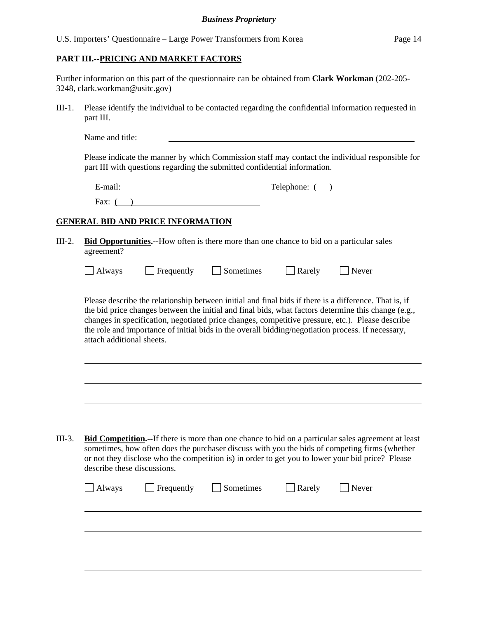#### **PART III.--PRICING AND MARKET FACTORS**

Further information on this part of the questionnaire can be obtained from **Clark Workman** (202-205- 3248, clark.workman@usitc.gov)

III-1. Please identify the individual to be contacted regarding the confidential information requested in part III.

| Name and title: |  |  |
|-----------------|--|--|
|                 |  |  |

Please indicate the manner by which Commission staff may contact the individual responsible for part III with questions regarding the submitted confidential information.

| $\cdot$ $\cdot$<br>∃-mail. | Telephone: |
|----------------------------|------------|
| Fax:                       |            |

#### **GENERAL BID AND PRICE INFORMATION**

 $\overline{a}$ 

l

| $III-2.$ | <b>Bid Opportunities.</b> --How often is there more than one chance to bid on a particular sales |
|----------|--------------------------------------------------------------------------------------------------|
|          | agreement?                                                                                       |

| Always | $\Box$ Frequently | Sometimes | $\Box$ Rarely | $\Box$ Never |
|--------|-------------------|-----------|---------------|--------------|
|--------|-------------------|-----------|---------------|--------------|

Please describe the relationship between initial and final bids if there is a difference. That is, if the bid price changes between the initial and final bids, what factors determine this change (e.g., changes in specification, negotiated price changes, competitive pressure, etc.). Please describe the role and importance of initial bids in the overall bidding/negotiation process. If necessary, attach additional sheets.

| III-3. | <b>Bid Competition.</b> --If there is more than one chance to bid on a particular sales agreement at least |
|--------|------------------------------------------------------------------------------------------------------------|
|        | sometimes, how often does the purchaser discuss with you the bids of competing firms (whether              |
|        | or not they disclose who the competition is) in order to get you to lower your bid price? Please           |
|        | describe these discussions.                                                                                |

|  | Always Frequently Sometimes Rarely Never |  |  |
|--|------------------------------------------|--|--|
|  |                                          |  |  |
|  |                                          |  |  |
|  |                                          |  |  |
|  |                                          |  |  |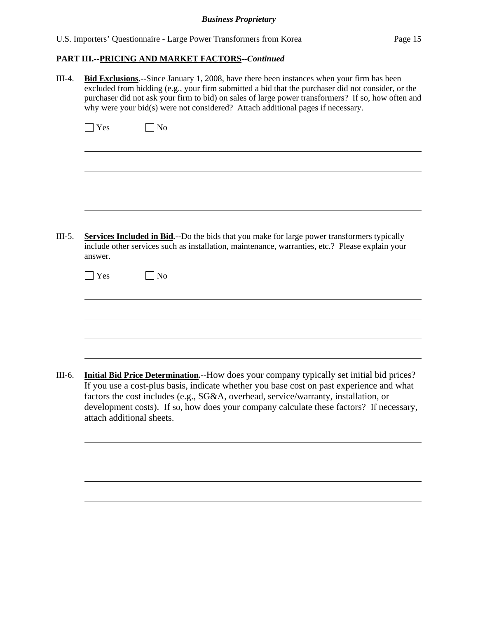| U.S. Importers' Questionnaire - Large Power Transformers from Korea |  |  |  |  |  | Page 15 |
|---------------------------------------------------------------------|--|--|--|--|--|---------|
|---------------------------------------------------------------------|--|--|--|--|--|---------|

| $III-4.$ | <b>Bid Exclusions.</b> --Since January 1, 2008, have there been instances when your firm has been<br>excluded from bidding (e.g., your firm submitted a bid that the purchaser did not consider, or the<br>purchaser did not ask your firm to bid) on sales of large power transformers? If so, how often and<br>why were your bid(s) were not considered? Attach additional pages if necessary.     |
|----------|------------------------------------------------------------------------------------------------------------------------------------------------------------------------------------------------------------------------------------------------------------------------------------------------------------------------------------------------------------------------------------------------------|
|          | $\Box$ Yes<br>$\exists$ No                                                                                                                                                                                                                                                                                                                                                                           |
|          |                                                                                                                                                                                                                                                                                                                                                                                                      |
| $III-5.$ | <b>Services Included in Bid.</b> --Do the bids that you make for large power transformers typically<br>include other services such as installation, maintenance, warranties, etc.? Please explain your<br>answer.                                                                                                                                                                                    |
|          | $\vert$ Yes<br>N <sub>o</sub>                                                                                                                                                                                                                                                                                                                                                                        |
|          |                                                                                                                                                                                                                                                                                                                                                                                                      |
| III-6.   | Initial Bid Price Determination.--How does your company typically set initial bid prices?<br>If you use a cost-plus basis, indicate whether you base cost on past experience and what<br>factors the cost includes (e.g., SG&A, overhead, service/warranty, installation, or<br>development costs). If so, how does your company calculate these factors? If necessary,<br>attach additional sheets. |
|          |                                                                                                                                                                                                                                                                                                                                                                                                      |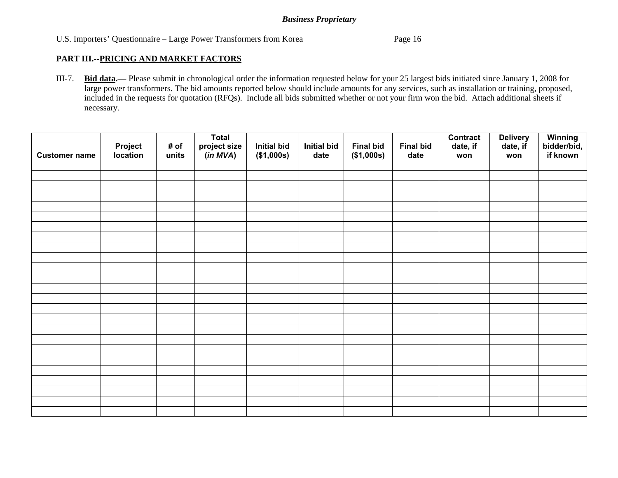## U.S. Importers' Questionnaire – Large Power Transformers from Korea Page 16

#### **PART III.--PRICING AND MARKET FACTORS**

III-7. **Bid data.—** Please submit in chronological order the information requested below for your 25 largest bids initiated since January 1, 2008 for large power transformers. The bid amounts reported below should include amounts for any services, such as installation or training, proposed, included in the requests for quotation (RFQs). Include all bids submitted whether or not your firm won the bid. Attach additional sheets if necessary.

|                      |                            |               | <b>Total</b><br>project size<br>(in MVA) | <b>Initial bid</b> | <b>Initial bid</b> | <b>Final bid</b> | <b>Final bid</b> | <b>Contract</b><br>date, if | <b>Delivery</b><br>date, if | Winning<br>bidder/bid,<br>if known |
|----------------------|----------------------------|---------------|------------------------------------------|--------------------|--------------------|------------------|------------------|-----------------------------|-----------------------------|------------------------------------|
| <b>Customer name</b> | <b>Project</b><br>location | # of<br>units |                                          | (\$1,000s)         | date               | (\$1,000s)       | date             | won                         | won                         |                                    |
|                      |                            |               |                                          |                    |                    |                  |                  |                             |                             |                                    |
|                      |                            |               |                                          |                    |                    |                  |                  |                             |                             |                                    |
|                      |                            |               |                                          |                    |                    |                  |                  |                             |                             |                                    |
|                      |                            |               |                                          |                    |                    |                  |                  |                             |                             |                                    |
|                      |                            |               |                                          |                    |                    |                  |                  |                             |                             |                                    |
|                      |                            |               |                                          |                    |                    |                  |                  |                             |                             |                                    |
|                      |                            |               |                                          |                    |                    |                  |                  |                             |                             |                                    |
|                      |                            |               |                                          |                    |                    |                  |                  |                             |                             |                                    |
|                      |                            |               |                                          |                    |                    |                  |                  |                             |                             |                                    |
|                      |                            |               |                                          |                    |                    |                  |                  |                             |                             |                                    |
|                      |                            |               |                                          |                    |                    |                  |                  |                             |                             |                                    |
|                      |                            |               |                                          |                    |                    |                  |                  |                             |                             |                                    |
|                      |                            |               |                                          |                    |                    |                  |                  |                             |                             |                                    |
|                      |                            |               |                                          |                    |                    |                  |                  |                             |                             |                                    |
|                      |                            |               |                                          |                    |                    |                  |                  |                             |                             |                                    |
|                      |                            |               |                                          |                    |                    |                  |                  |                             |                             |                                    |
|                      |                            |               |                                          |                    |                    |                  |                  |                             |                             |                                    |
|                      |                            |               |                                          |                    |                    |                  |                  |                             |                             |                                    |
|                      |                            |               |                                          |                    |                    |                  |                  |                             |                             |                                    |
|                      |                            |               |                                          |                    |                    |                  |                  |                             |                             |                                    |
|                      |                            |               |                                          |                    |                    |                  |                  |                             |                             |                                    |
|                      |                            |               |                                          |                    |                    |                  |                  |                             |                             |                                    |
|                      |                            |               |                                          |                    |                    |                  |                  |                             |                             |                                    |
|                      |                            |               |                                          |                    |                    |                  |                  |                             |                             |                                    |
|                      |                            |               |                                          |                    |                    |                  |                  |                             |                             |                                    |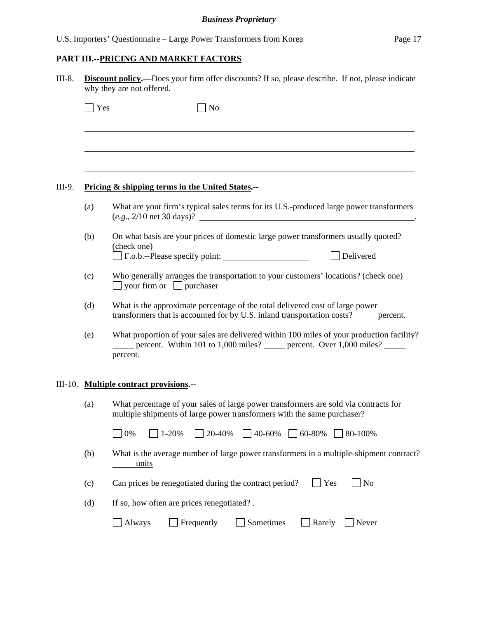# **PART III.--PRICING AND MARKET FACTORS**

|     | <b>Discount policy.</b> —Does your firm offer discounts? If so, please describe. If not, please indicate<br>why they are not offered.                                                |
|-----|--------------------------------------------------------------------------------------------------------------------------------------------------------------------------------------|
| Yes | $\rfloor$ No                                                                                                                                                                         |
|     |                                                                                                                                                                                      |
|     | Pricing & shipping terms in the United States.--                                                                                                                                     |
| (a) | What are your firm's typical sales terms for its U.S.-produced large power transformers<br>$(e.g., 2/10 \text{ net } 30 \text{ days})$ ?                                             |
| (b) | On what basis are your prices of domestic large power transformers usually quoted?<br>(check one)<br>F.o.b.--Please specify point:<br>Delivered                                      |
| (c) | Who generally arranges the transportation to your customers' locations? (check one)<br>$\Box$ your firm or $\Box$ purchaser                                                          |
| (d) | What is the approximate percentage of the total delivered cost of large power<br>transformers that is accounted for by U.S. inland transportation costs? ______ percent.             |
| (e) | What proportion of your sales are delivered within 100 miles of your production facility?<br>percent. Within 101 to 1,000 miles? ______ percent. Over 1,000 miles? _____<br>percent. |
|     | III-10. Multiple contract provisions.--                                                                                                                                              |
| (a) | What percentage of your sales of large power transformers are sold via contracts for<br>multiple shipments of large power transformers with the same purchaser?                      |
|     | 20-40%<br>40-60%<br>$\Box$ 60-80%<br>0%<br>1-20%<br>$\sqrt{80-100\%}$                                                                                                                |
| (b) | What is the average number of large power transformers in a multiple-shipment contract?<br>units                                                                                     |
| (c) | Can prices be renegotiated during the contract period?<br>Yes<br>N <sub>o</sub>                                                                                                      |
| (d) | If so, how often are prices renegotiated?.                                                                                                                                           |
|     | Frequently<br>Sometimes<br>Always<br>Rarely<br>Never                                                                                                                                 |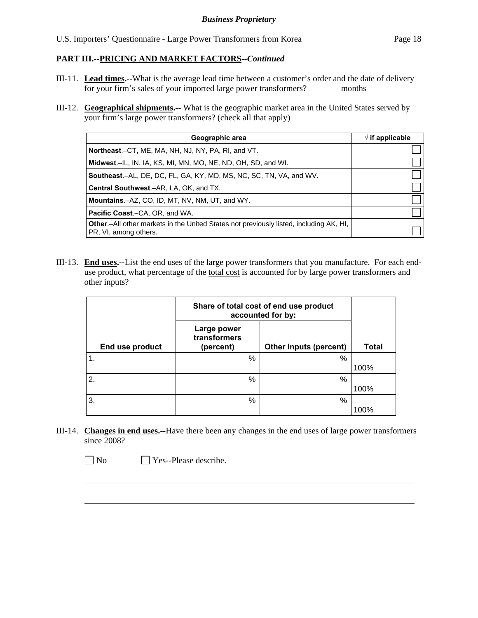- III-11. **Lead times.--**What is the average lead time between a customer's order and the date of delivery for your firm's sales of your imported large power transformers? \_\_\_\_\_\_\_ months
- III-12. **Geographical shipments.--** What is the geographic market area in the United States served by your firm's large power transformers? (check all that apply)

| Geographic area                                                                                                 | $\sqrt{ }$ if applicable |
|-----------------------------------------------------------------------------------------------------------------|--------------------------|
| Northeast.–CT, ME, MA, NH, NJ, NY, PA, RI, and VT.                                                              |                          |
| Midwest.-IL, IN, IA, KS, MI, MN, MO, NE, ND, OH, SD, and WI.                                                    |                          |
| <b>Southeast.–AL, DE, DC, FL, GA, KY, MD, MS, NC, SC, TN, VA, and WV.</b>                                       |                          |
| Central Southwest.-AR, LA, OK, and TX.                                                                          |                          |
| <b>Mountains.</b> - AZ, CO, ID, MT, NV, NM, UT, and WY.                                                         |                          |
| <b>Pacific Coast.–CA, OR, and WA.</b>                                                                           |                          |
| Other.-All other markets in the United States not previously listed, including AK, HI,<br>PR, VI, among others. |                          |

III-13. **End uses.--**List the end uses of the large power transformers that you manufacture. For each enduse product, what percentage of the total cost is accounted for by large power transformers and other inputs?

|                  |                                          | Share of total cost of end use product<br>accounted for by: |              |
|------------------|------------------------------------------|-------------------------------------------------------------|--------------|
| End use product  | Large power<br>transformers<br>(percent) | Other inputs (percent)                                      | <b>Total</b> |
| $\overline{1}$ . | %                                        | %                                                           |              |
|                  |                                          |                                                             | 100%         |
| 2.               | %                                        | %                                                           |              |
|                  |                                          |                                                             | 100%         |
| 3.               | %                                        | %                                                           |              |
|                  |                                          |                                                             | 100%         |

III-14. **Changes in end uses.--**Have there been any changes in the end uses of large power transformers since 2008?

No Yes--Please describe.

 $\overline{a}$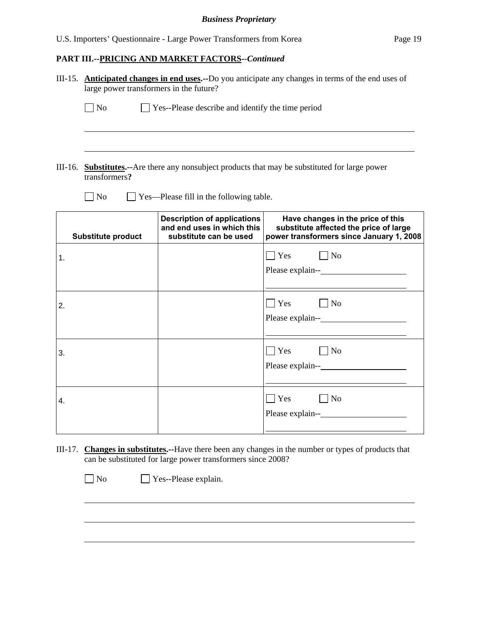|    | large power transformers in the future? |                                                                                            | III-15. Anticipated changes in end uses.--Do you anticipate any changes in terms of the end uses of                     |
|----|-----------------------------------------|--------------------------------------------------------------------------------------------|-------------------------------------------------------------------------------------------------------------------------|
|    | $\neg$ No                               | $\Box$ Yes--Please describe and identify the time period                                   |                                                                                                                         |
|    |                                         |                                                                                            |                                                                                                                         |
|    | transformers?                           |                                                                                            | III-16. <b>Substitutes.</b> --Are there any nonsubject products that may be substituted for large power                 |
|    | $\exists$ No                            | Yes—Please fill in the following table.                                                    |                                                                                                                         |
|    | <b>Substitute product</b>               | <b>Description of applications</b><br>and end uses in which this<br>substitute can be used | Have changes in the price of this<br>substitute affected the price of large<br>power transformers since January 1, 2008 |
| 1. |                                         |                                                                                            | $\neg$ No<br>Yes                                                                                                        |
| 2. |                                         |                                                                                            | $\Box$ Yes<br>$\Box$ No                                                                                                 |
| 3. |                                         |                                                                                            | $\Box$ No<br>Yes                                                                                                        |
| 4. |                                         |                                                                                            | $\neg$ No<br>$\Box$ Yes                                                                                                 |

III-17. **Changes in substitutes.--**Have there been any changes in the number or types of products that can be substituted for large power transformers since 2008?

No Yes--Please explain.

 $\overline{a}$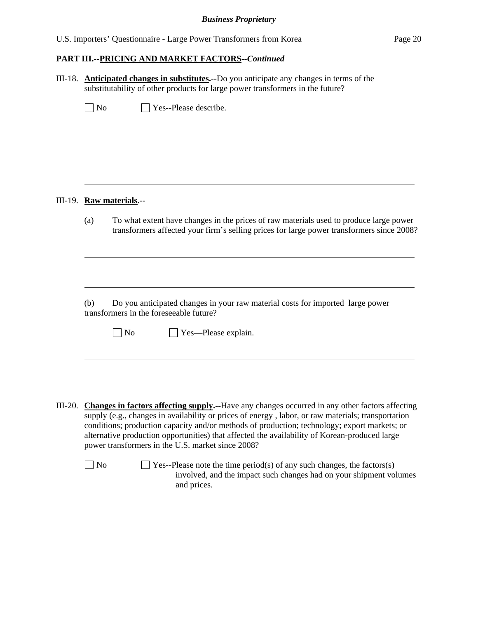|  |  |  | U.S. Importers' Questionnaire - Large Power Transformers from Korea |  | Page 20 |
|--|--|--|---------------------------------------------------------------------|--|---------|
|--|--|--|---------------------------------------------------------------------|--|---------|

|           | III-18. <b>Anticipated changes in substitutes.</b> --Do you anticipate any changes in terms of the<br>substitutability of other products for large power transformers in the future?                                                                                                                                                                                                                                                                       |
|-----------|------------------------------------------------------------------------------------------------------------------------------------------------------------------------------------------------------------------------------------------------------------------------------------------------------------------------------------------------------------------------------------------------------------------------------------------------------------|
|           | $\Box$ No<br>Yes--Please describe.                                                                                                                                                                                                                                                                                                                                                                                                                         |
|           |                                                                                                                                                                                                                                                                                                                                                                                                                                                            |
|           | III-19. Raw materials.--                                                                                                                                                                                                                                                                                                                                                                                                                                   |
|           | To what extent have changes in the prices of raw materials used to produce large power<br>(a)<br>transformers affected your firm's selling prices for large power transformers since 2008?                                                                                                                                                                                                                                                                 |
|           | Do you anticipated changes in your raw material costs for imported large power<br>(b)                                                                                                                                                                                                                                                                                                                                                                      |
|           | transformers in the foreseeable future?                                                                                                                                                                                                                                                                                                                                                                                                                    |
|           | N <sub>o</sub><br>Yes—Please explain.                                                                                                                                                                                                                                                                                                                                                                                                                      |
|           |                                                                                                                                                                                                                                                                                                                                                                                                                                                            |
| $III-20.$ | Changes in factors affecting supply.--Have any changes occurred in any other factors affecting<br>supply (e.g., changes in availability or prices of energy, labor, or raw materials; transportation<br>conditions; production capacity and/or methods of production; technology; export markets; or<br>alternative production opportunities) that affected the availability of Korean-produced large<br>power transformers in the U.S. market since 2008? |
|           | $\Box$ No<br>Yes--Please note the time period(s) of any such changes, the factors(s)<br>involved, and the impact such changes had on your shipment volumes<br>and prices.                                                                                                                                                                                                                                                                                  |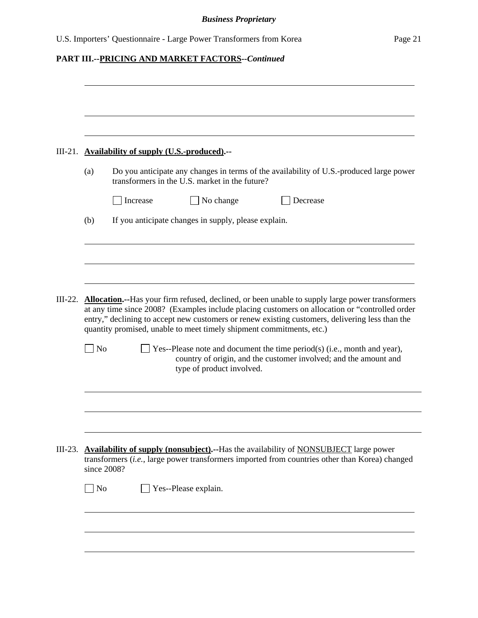|           | III-21. Availability of supply (U.S.-produced).--                                                                                                                                                                                                                                                                                                                                    |
|-----------|--------------------------------------------------------------------------------------------------------------------------------------------------------------------------------------------------------------------------------------------------------------------------------------------------------------------------------------------------------------------------------------|
| (a)       | Do you anticipate any changes in terms of the availability of U.S.-produced large power<br>transformers in the U.S. market in the future?                                                                                                                                                                                                                                            |
|           | No change<br>Increase<br>Decrease                                                                                                                                                                                                                                                                                                                                                    |
| (b)       | If you anticipate changes in supply, please explain.                                                                                                                                                                                                                                                                                                                                 |
|           |                                                                                                                                                                                                                                                                                                                                                                                      |
|           |                                                                                                                                                                                                                                                                                                                                                                                      |
| $III-22.$ | <b>Allocation.</b> --Has your firm refused, declined, or been unable to supply large power transformers<br>at any time since 2008? (Examples include placing customers on allocation or "controlled order<br>entry," declining to accept new customers or renew existing customers, delivering less than the<br>quantity promised, unable to meet timely shipment commitments, etc.) |
|           |                                                                                                                                                                                                                                                                                                                                                                                      |
|           | N <sub>o</sub><br>Yes--Please note and document the time period(s) (i.e., month and year),<br>country of origin, and the customer involved; and the amount and<br>type of product involved.                                                                                                                                                                                          |
|           |                                                                                                                                                                                                                                                                                                                                                                                      |
|           | III-23. Availability of supply (nonsubject).--Has the availability of NONSUBJECT large power<br>transformers (i.e., large power transformers imported from countries other than Korea) changed<br>since 2008?                                                                                                                                                                        |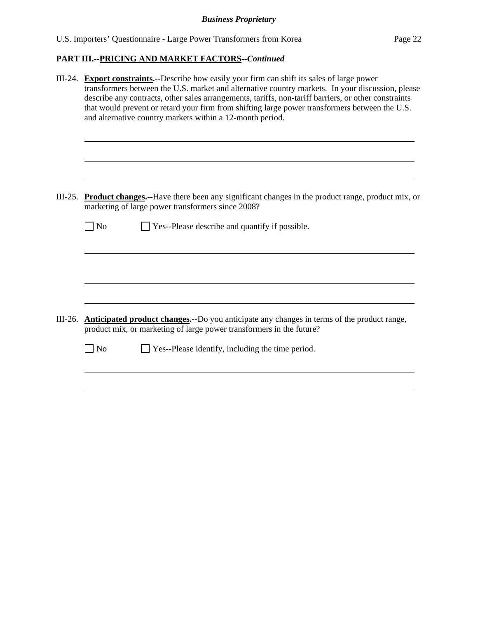|           | III-24. Export constraints.--Describe how easily your firm can shift its sales of large power<br>transformers between the U.S. market and alternative country markets. In your discussion, please<br>describe any contracts, other sales arrangements, tariffs, non-tariff barriers, or other constraints<br>that would prevent or retard your firm from shifting large power transformers between the U.S.<br>and alternative country markets within a 12-month period. |  |  |  |  |
|-----------|--------------------------------------------------------------------------------------------------------------------------------------------------------------------------------------------------------------------------------------------------------------------------------------------------------------------------------------------------------------------------------------------------------------------------------------------------------------------------|--|--|--|--|
| $III-25.$ | <b>Product changes.</b> --Have there been any significant changes in the product range, product mix, or<br>marketing of large power transformers since 2008?                                                                                                                                                                                                                                                                                                             |  |  |  |  |
|           | Yes--Please describe and quantify if possible.<br>$\overline{\phantom{a}}$ No                                                                                                                                                                                                                                                                                                                                                                                            |  |  |  |  |
|           |                                                                                                                                                                                                                                                                                                                                                                                                                                                                          |  |  |  |  |
| $III-26.$ | <b>Anticipated product changes.</b> --Do you anticipate any changes in terms of the product range,                                                                                                                                                                                                                                                                                                                                                                       |  |  |  |  |
|           | product mix, or marketing of large power transformers in the future?<br>$\n  o$<br>Yes--Please identify, including the time period.                                                                                                                                                                                                                                                                                                                                      |  |  |  |  |
|           |                                                                                                                                                                                                                                                                                                                                                                                                                                                                          |  |  |  |  |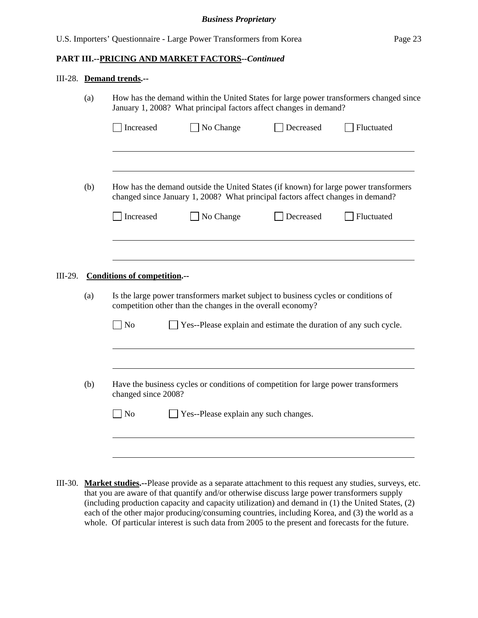#### III-28. **Demand trends.--**

|                                                                                                                  | (a)                                 | How has the demand within the United States for large power transformers changed since<br>January 1, 2008? What principal factors affect changes in demand?             |           |           |            |  |
|------------------------------------------------------------------------------------------------------------------|-------------------------------------|-------------------------------------------------------------------------------------------------------------------------------------------------------------------------|-----------|-----------|------------|--|
|                                                                                                                  |                                     | Increased                                                                                                                                                               | No Change | Decreased | Fluctuated |  |
|                                                                                                                  |                                     |                                                                                                                                                                         |           |           |            |  |
|                                                                                                                  | (b)                                 | How has the demand outside the United States (if known) for large power transformers<br>changed since January 1, 2008? What principal factors affect changes in demand? |           |           |            |  |
|                                                                                                                  |                                     | Increased                                                                                                                                                               | No Change | Decreased | Fluctuated |  |
|                                                                                                                  |                                     |                                                                                                                                                                         |           |           |            |  |
|                                                                                                                  |                                     |                                                                                                                                                                         |           |           |            |  |
| III-29.                                                                                                          | <b>Conditions of competition.--</b> |                                                                                                                                                                         |           |           |            |  |
|                                                                                                                  | (a)                                 | Is the large power transformers market subject to business cycles or conditions of<br>competition other than the changes in the overall economy?                        |           |           |            |  |
|                                                                                                                  |                                     | <b>No</b><br>Yes--Please explain and estimate the duration of any such cycle.                                                                                           |           |           |            |  |
| (b)<br>Have the business cycles or conditions of competition for large power transformers<br>changed since 2008? |                                     |                                                                                                                                                                         |           |           |            |  |
|                                                                                                                  |                                     |                                                                                                                                                                         |           |           |            |  |
|                                                                                                                  |                                     |                                                                                                                                                                         |           |           |            |  |
|                                                                                                                  |                                     | No<br>Yes--Please explain any such changes.                                                                                                                             |           |           |            |  |
|                                                                                                                  |                                     |                                                                                                                                                                         |           |           |            |  |
|                                                                                                                  |                                     |                                                                                                                                                                         |           |           |            |  |

III-30. **Market studies.--**Please provide as a separate attachment to this request any studies, surveys, etc. that you are aware of that quantify and/or otherwise discuss large power transformers supply (including production capacity and capacity utilization) and demand in (1) the United States, (2) each of the other major producing/consuming countries, including Korea, and (3) the world as a whole. Of particular interest is such data from 2005 to the present and forecasts for the future.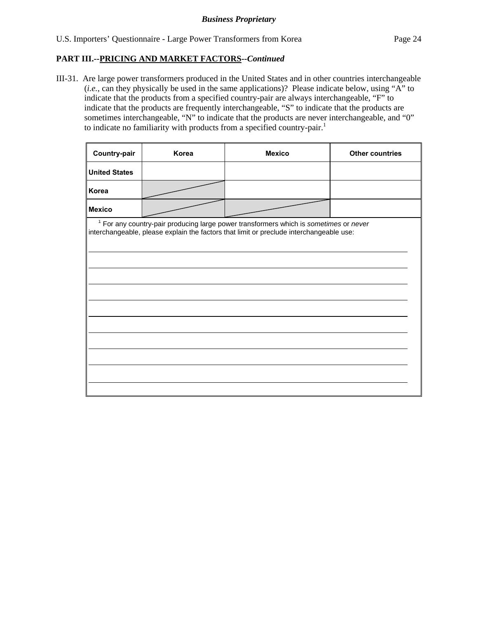III-31. Are large power transformers produced in the United States and in other countries interchangeable (*i.e.*, can they physically be used in the same applications)? Please indicate below, using "A" to indicate that the products from a specified country-pair are always interchangeable, "F" to indicate that the products are frequently interchangeable, "S" to indicate that the products are sometimes interchangeable, "N" to indicate that the products are never interchangeable, and "0" to indicate no familiarity with products from a specified country-pair.<sup>1</sup>

| Country-pair                                                                                                                                                                                | Korea | <b>Mexico</b> | <b>Other countries</b> |  |  |
|---------------------------------------------------------------------------------------------------------------------------------------------------------------------------------------------|-------|---------------|------------------------|--|--|
| <b>United States</b>                                                                                                                                                                        |       |               |                        |  |  |
| Korea                                                                                                                                                                                       |       |               |                        |  |  |
| <b>Mexico</b>                                                                                                                                                                               |       |               |                        |  |  |
| <sup>1</sup> For any country-pair producing large power transformers which is sometimes or never<br>interchangeable, please explain the factors that limit or preclude interchangeable use: |       |               |                        |  |  |
|                                                                                                                                                                                             |       |               |                        |  |  |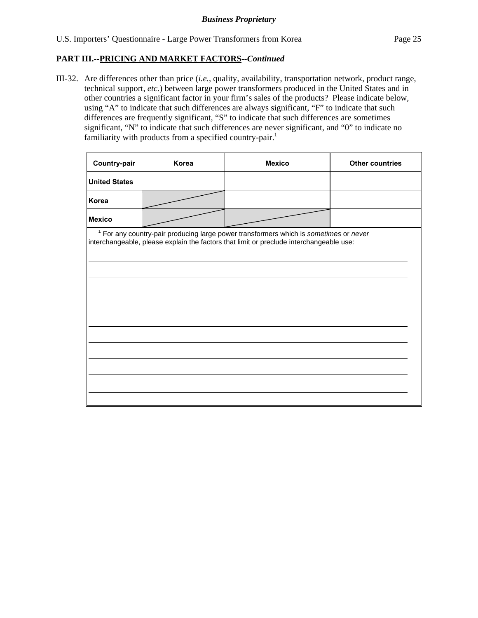III-32. Are differences other than price (*i.e.*, quality, availability, transportation network, product range, technical support, *etc.*) between large power transformers produced in the United States and in other countries a significant factor in your firm's sales of the products? Please indicate below, using "A" to indicate that such differences are always significant, "F" to indicate that such differences are frequently significant, "S" to indicate that such differences are sometimes significant, "N" to indicate that such differences are never significant, and "0" to indicate no familiarity with products from a specified country-pair.<sup>1</sup>

| Country-pair         | Korea | <b>Mexico</b>                                                                                                                                                                      | <b>Other countries</b> |
|----------------------|-------|------------------------------------------------------------------------------------------------------------------------------------------------------------------------------------|------------------------|
| <b>United States</b> |       |                                                                                                                                                                                    |                        |
| Korea                |       |                                                                                                                                                                                    |                        |
| Mexico               |       |                                                                                                                                                                                    |                        |
|                      |       | $1$ For any country-pair producing large power transformers which is sometimes or never<br>interchangeable, please explain the factors that limit or preclude interchangeable use: |                        |
|                      |       |                                                                                                                                                                                    |                        |
|                      |       |                                                                                                                                                                                    |                        |